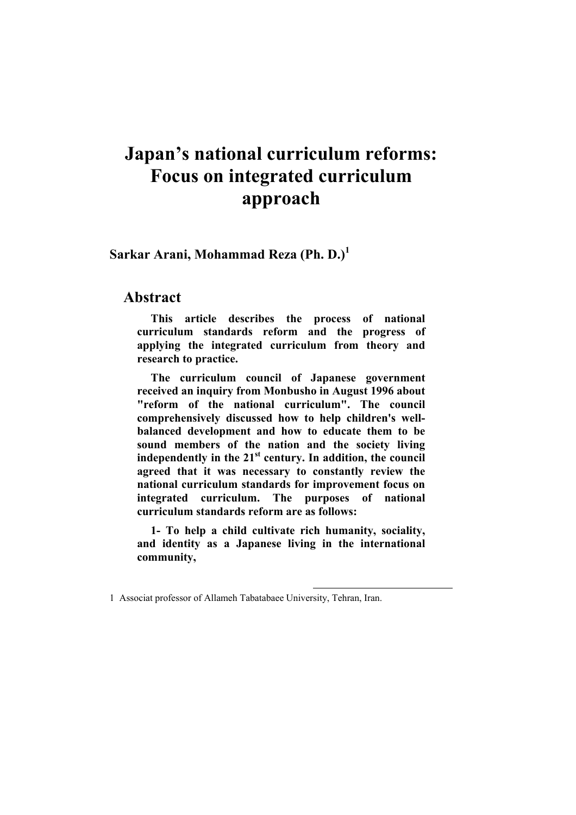# **Japan's national curriculum reforms: Focus on integrated curriculum approach**

**Sarkar Arani, Mohammad Reza (Ph. D.)<sup>1</sup>**

#### **Abstract**

**This article describes the process of national curriculum standards reform and the progress of applying the integrated curriculum from theory and research to practice.** 

**The curriculum council of Japanese government received an inquiry from Monbusho in August 1996 about "reform of the national curriculum". The council comprehensively discussed how to help children's wellbalanced development and how to educate them to be sound members of the nation and the society living independently in the 21st century. In addition, the council agreed that it was necessary to constantly review the national curriculum standards for improvement focus on integrated curriculum. The purposes of national curriculum standards reform are as follows:** 

**1- To help a child cultivate rich humanity, sociality, and identity as a Japanese living in the international community,** 

 $\overline{\phantom{a}}$ 

<sup>1</sup> Associat professor of Allameh Tabatabaee University, Tehran, Iran.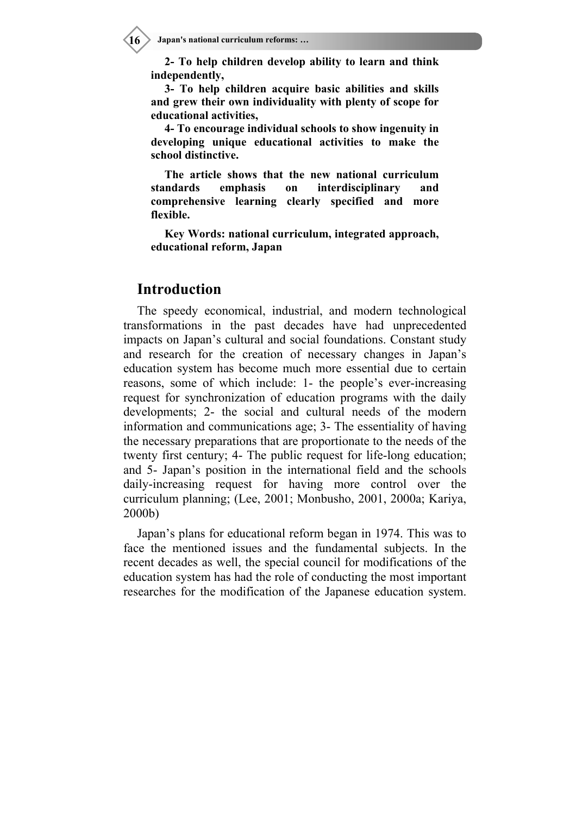**2- To help children develop ability to learn and think independently,** 

**3- To help children acquire basic abilities and skills and grew their own individuality with plenty of scope for educational activities,** 

**4- To encourage individual schools to show ingenuity in developing unique educational activities to make the school distinctive.** 

**The article shows that the new national curriculum standards emphasis on interdisciplinary and comprehensive learning clearly specified and more flexible.** 

**Key Words: national curriculum, integrated approach, educational reform, Japan** 

#### **Introduction**

The speedy economical, industrial, and modern technological transformations in the past decades have had unprecedented impacts on Japan's cultural and social foundations. Constant study and research for the creation of necessary changes in Japan's education system has become much more essential due to certain reasons, some of which include: 1- the people's ever-increasing request for synchronization of education programs with the daily developments; 2- the social and cultural needs of the modern information and communications age; 3- The essentiality of having the necessary preparations that are proportionate to the needs of the twenty first century; 4- The public request for life-long education; and 5- Japan's position in the international field and the schools daily-increasing request for having more control over the curriculum planning; (Lee, 2001; Monbusho, 2001, 2000a; Kariya, 2000b)

Japan's plans for educational reform began in 1974. This was to face the mentioned issues and the fundamental subjects. In the recent decades as well, the special council for modifications of the education system has had the role of conducting the most important researches for the modification of the Japanese education system.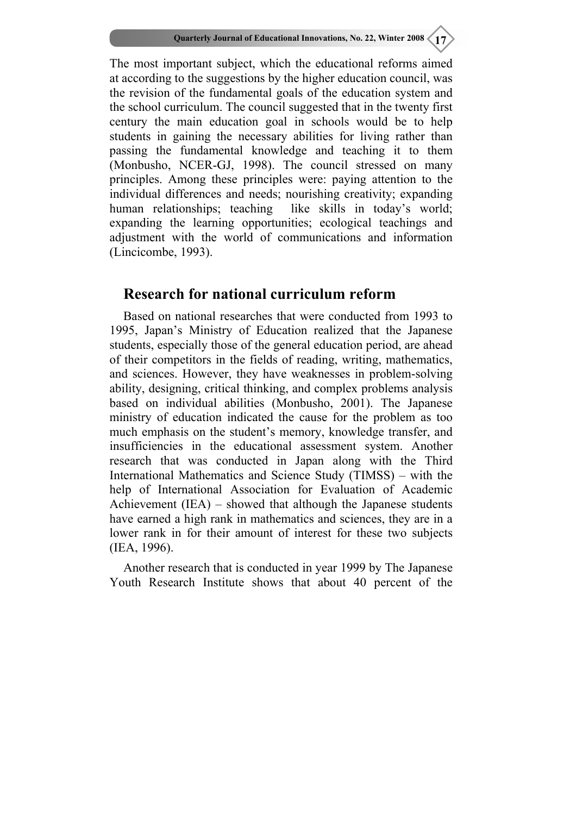The most important subject, which the educational reforms aimed at according to the suggestions by the higher education council, was the revision of the fundamental goals of the education system and the school curriculum. The council suggested that in the twenty first century the main education goal in schools would be to help students in gaining the necessary abilities for living rather than passing the fundamental knowledge and teaching it to them (Monbusho, NCER-GJ, 1998). The council stressed on many principles. Among these principles were: paying attention to the individual differences and needs; nourishing creativity; expanding human relationships; teaching like skills in today's world; expanding the learning opportunities; ecological teachings and adjustment with the world of communications and information (Lincicombe, 1993).

# **Research for national curriculum reform**

Based on national researches that were conducted from 1993 to 1995, Japan's Ministry of Education realized that the Japanese students, especially those of the general education period, are ahead of their competitors in the fields of reading, writing, mathematics, and sciences. However, they have weaknesses in problem-solving ability, designing, critical thinking, and complex problems analysis based on individual abilities (Monbusho, 2001). The Japanese ministry of education indicated the cause for the problem as too much emphasis on the student's memory, knowledge transfer, and insufficiencies in the educational assessment system. Another research that was conducted in Japan along with the Third International Mathematics and Science Study (TIMSS) – with the help of International Association for Evaluation of Academic Achievement (IEA) – showed that although the Japanese students have earned a high rank in mathematics and sciences, they are in a lower rank in for their amount of interest for these two subjects (IEA, 1996).

Another research that is conducted in year 1999 by The Japanese Youth Research Institute shows that about 40 percent of the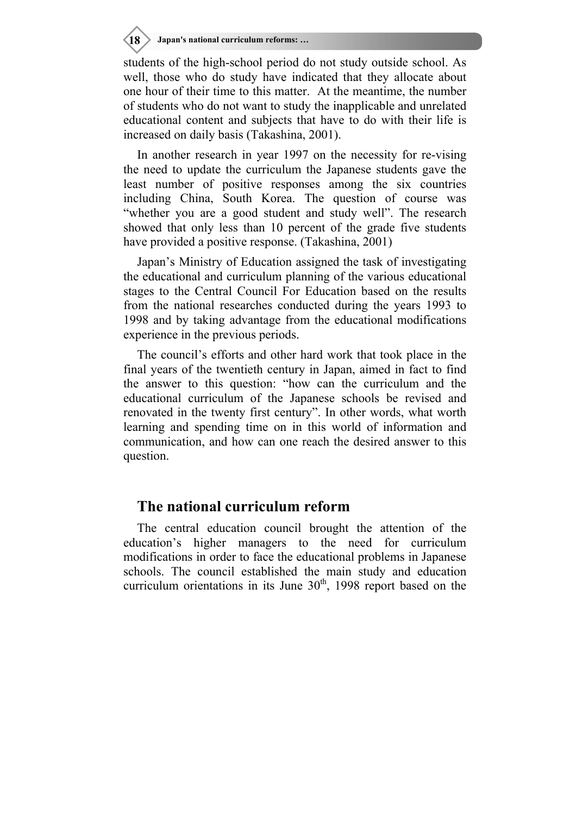**18 Japan's national curriculum reforms: …**

students of the high-school period do not study outside school. As well, those who do study have indicated that they allocate about one hour of their time to this matter. At the meantime, the number of students who do not want to study the inapplicable and unrelated educational content and subjects that have to do with their life is increased on daily basis (Takashina, 2001).

In another research in year 1997 on the necessity for re-vising the need to update the curriculum the Japanese students gave the least number of positive responses among the six countries including China, South Korea. The question of course was "whether you are a good student and study well". The research showed that only less than 10 percent of the grade five students have provided a positive response. (Takashina, 2001)

Japan's Ministry of Education assigned the task of investigating the educational and curriculum planning of the various educational stages to the Central Council For Education based on the results from the national researches conducted during the years 1993 to 1998 and by taking advantage from the educational modifications experience in the previous periods.

The council's efforts and other hard work that took place in the final years of the twentieth century in Japan, aimed in fact to find the answer to this question: "how can the curriculum and the educational curriculum of the Japanese schools be revised and renovated in the twenty first century". In other words, what worth learning and spending time on in this world of information and communication, and how can one reach the desired answer to this question.

### **The national curriculum reform**

The central education council brought the attention of the education's higher managers to the need for curriculum modifications in order to face the educational problems in Japanese schools. The council established the main study and education curriculum orientations in its June  $30<sup>th</sup>$ , 1998 report based on the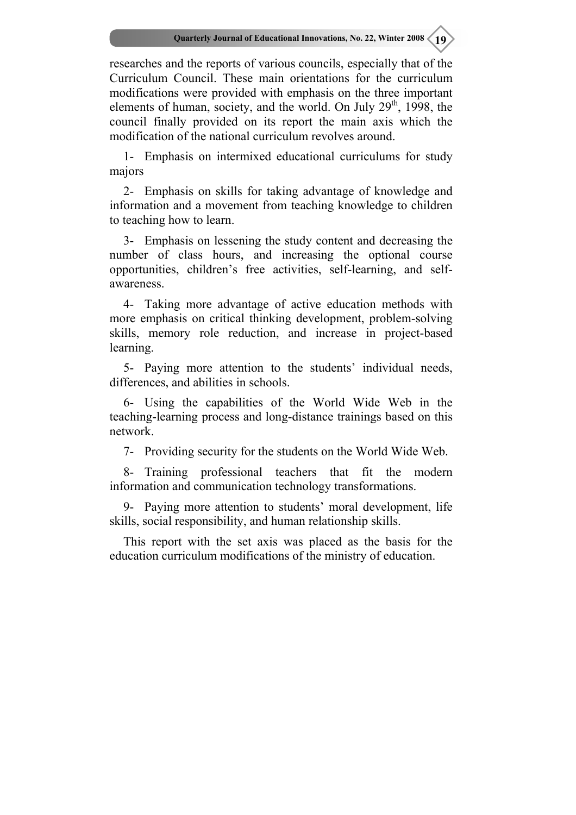researches and the reports of various councils, especially that of the Curriculum Council. These main orientations for the curriculum modifications were provided with emphasis on the three important elements of human, society, and the world. On July  $29<sup>th</sup>$ , 1998, the council finally provided on its report the main axis which the modification of the national curriculum revolves around.

1- Emphasis on intermixed educational curriculums for study majors

2- Emphasis on skills for taking advantage of knowledge and information and a movement from teaching knowledge to children to teaching how to learn.

3- Emphasis on lessening the study content and decreasing the number of class hours, and increasing the optional course opportunities, children's free activities, self-learning, and selfawareness.

4- Taking more advantage of active education methods with more emphasis on critical thinking development, problem-solving skills, memory role reduction, and increase in project-based learning.

5- Paying more attention to the students' individual needs, differences, and abilities in schools.

6- Using the capabilities of the World Wide Web in the teaching-learning process and long-distance trainings based on this network.

7- Providing security for the students on the World Wide Web.

8- Training professional teachers that fit the modern information and communication technology transformations.

9- Paying more attention to students' moral development, life skills, social responsibility, and human relationship skills.

This report with the set axis was placed as the basis for the education curriculum modifications of the ministry of education.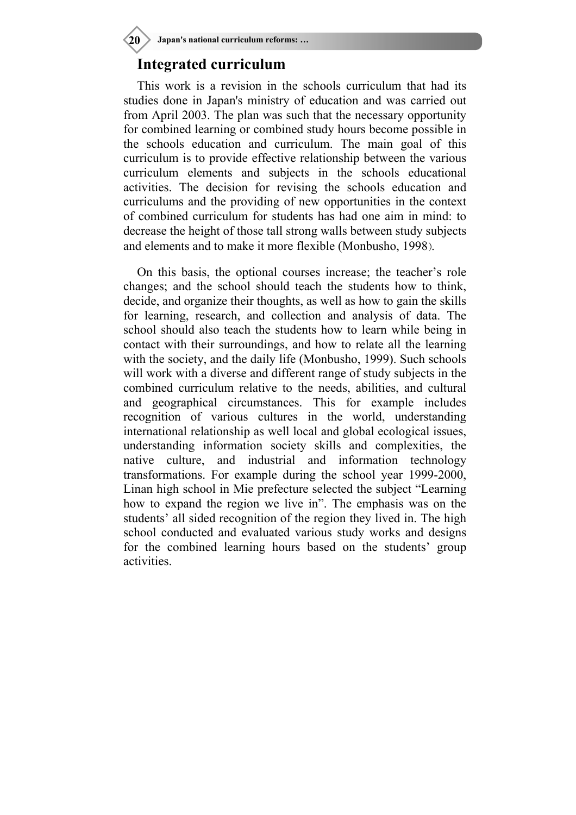**20 Japan's national curriculum reforms: …**

#### **Integrated curriculum**

This work is a revision in the schools curriculum that had its studies done in Japan's ministry of education and was carried out from April 2003. The plan was such that the necessary opportunity for combined learning or combined study hours become possible in the schools education and curriculum. The main goal of this curriculum is to provide effective relationship between the various curriculum elements and subjects in the schools educational activities. The decision for revising the schools education and curriculums and the providing of new opportunities in the context of combined curriculum for students has had one aim in mind: to decrease the height of those tall strong walls between study subjects and elements and to make it more flexible (Monbusho, 1998).

On this basis, the optional courses increase; the teacher's role changes; and the school should teach the students how to think, decide, and organize their thoughts, as well as how to gain the skills for learning, research, and collection and analysis of data. The school should also teach the students how to learn while being in contact with their surroundings, and how to relate all the learning with the society, and the daily life (Monbusho, 1999). Such schools will work with a diverse and different range of study subjects in the combined curriculum relative to the needs, abilities, and cultural and geographical circumstances. This for example includes recognition of various cultures in the world, understanding international relationship as well local and global ecological issues, understanding information society skills and complexities, the native culture, and industrial and information technology transformations. For example during the school year 1999-2000, Linan high school in Mie prefecture selected the subject "Learning how to expand the region we live in". The emphasis was on the students' all sided recognition of the region they lived in. The high school conducted and evaluated various study works and designs for the combined learning hours based on the students' group activities.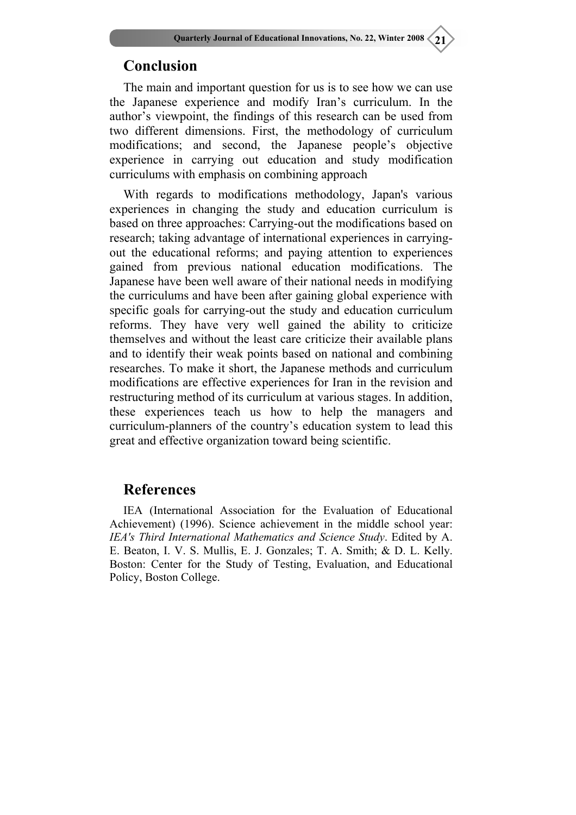# **Conclusion**

The main and important question for us is to see how we can use the Japanese experience and modify Iran's curriculum. In the author's viewpoint, the findings of this research can be used from two different dimensions. First, the methodology of curriculum modifications; and second, the Japanese people's objective experience in carrying out education and study modification curriculums with emphasis on combining approach

With regards to modifications methodology, Japan's various experiences in changing the study and education curriculum is based on three approaches: Carrying-out the modifications based on research; taking advantage of international experiences in carryingout the educational reforms; and paying attention to experiences gained from previous national education modifications. The Japanese have been well aware of their national needs in modifying the curriculums and have been after gaining global experience with specific goals for carrying-out the study and education curriculum reforms. They have very well gained the ability to criticize themselves and without the least care criticize their available plans and to identify their weak points based on national and combining researches. To make it short, the Japanese methods and curriculum modifications are effective experiences for Iran in the revision and restructuring method of its curriculum at various stages. In addition, these experiences teach us how to help the managers and curriculum-planners of the country's education system to lead this great and effective organization toward being scientific.

#### **References**

IEA (International Association for the Evaluation of Educational Achievement) (1996). Science achievement in the middle school year: *IEA's Third International Mathematics and Science Study*. Edited by A. E. Beaton, I. V. S. Mullis, E. J. Gonzales; T. A. Smith; & D. L. Kelly. Boston: Center for the Study of Testing, Evaluation, and Educational Policy, Boston College.